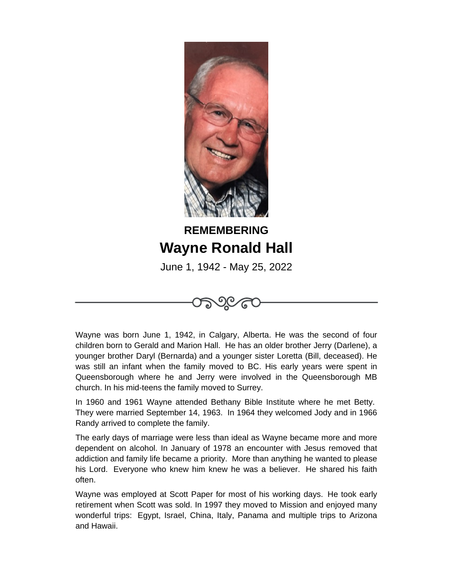

## **REMEMBERING Wayne Ronald Hall**

June 1, 1942 - May 25, 2022



Wayne was born June 1, 1942, in Calgary, Alberta. He was the second of four children born to Gerald and Marion Hall. He has an older brother Jerry (Darlene), a younger brother Daryl (Bernarda) and a younger sister Loretta (Bill, deceased). He was still an infant when the family moved to BC. His early years were spent in Queensborough where he and Jerry were involved in the Queensborough MB church. In his mid-teens the family moved to Surrey.

In 1960 and 1961 Wayne attended Bethany Bible Institute where he met Betty. They were married September 14, 1963. In 1964 they welcomed Jody and in 1966 Randy arrived to complete the family.

The early days of marriage were less than ideal as Wayne became more and more dependent on alcohol. In January of 1978 an encounter with Jesus removed that addiction and family life became a priority. More than anything he wanted to please his Lord. Everyone who knew him knew he was a believer. He shared his faith often.

Wayne was employed at Scott Paper for most of his working days. He took early retirement when Scott was sold. In 1997 they moved to Mission and enjoyed many wonderful trips: Egypt, Israel, China, Italy, Panama and multiple trips to Arizona and Hawaii.